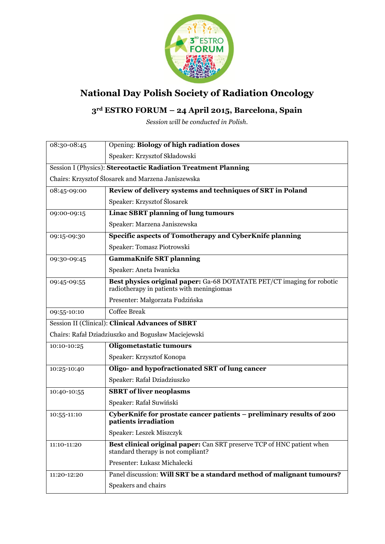

## **National Day Polish Society of Radiation Oncology**

## **3rd ESTRO FORUM – 24 April 2015, Barcelona, Spain**

*Session will be conducted in Polish.*

| 08:30-08:45                                                    | Opening: Biology of high radiation doses                                                                            |
|----------------------------------------------------------------|---------------------------------------------------------------------------------------------------------------------|
|                                                                | Speaker: Krzysztof Składowski                                                                                       |
| Session I (Physics): Stereotactic Radiation Treatment Planning |                                                                                                                     |
| Chairs: Krzysztof Ślosarek and Marzena Janiszewska             |                                                                                                                     |
| 08:45-09:00                                                    | Review of delivery systems and techniques of SRT in Poland                                                          |
|                                                                | Speaker: Krzysztof Ślosarek                                                                                         |
| 09:00-09:15                                                    | <b>Linac SBRT planning of lung tumours</b>                                                                          |
|                                                                | Speaker: Marzena Janiszewska                                                                                        |
| 09:15-09:30                                                    | Specific aspects of Tomotherapy and CyberKnife planning                                                             |
|                                                                | Speaker: Tomasz Piotrowski                                                                                          |
| 09:30-09:45                                                    | <b>GammaKnife SRT planning</b>                                                                                      |
|                                                                | Speaker: Aneta Iwanicka                                                                                             |
| 09:45-09:55                                                    | Best physics original paper: Ga-68 DOTATATE PET/CT imaging for robotic<br>radiotherapy in patients with meningiomas |
|                                                                | Presenter: Małgorzata Fudzińska                                                                                     |
| 09:55-10:10                                                    | <b>Coffee Break</b>                                                                                                 |
| <b>Session II (Clinical): Clinical Advances of SBRT</b>        |                                                                                                                     |
| Chairs: Rafał Dziadziuszko and Bogusław Maciejewski            |                                                                                                                     |
| 10:10-10:25                                                    | Oligometastatic tumours                                                                                             |
|                                                                | Speaker: Krzysztof Konopa                                                                                           |
| 10:25-10:40                                                    | Oligo- and hypofractionated SRT of lung cancer                                                                      |
|                                                                | Speaker: Rafał Dziadziuszko                                                                                         |
| 10:40-10:55                                                    | <b>SBRT</b> of liver neoplasms                                                                                      |
|                                                                | Speaker: Rafał Suwiński                                                                                             |
| 10:55-11:10                                                    | CyberKnife for prostate cancer patients - preliminary results of 200<br>patients irradiation                        |
|                                                                | Speaker: Leszek Miszczyk                                                                                            |
| 11:10-11:20                                                    | Best clinical original paper: Can SRT preserve TCP of HNC patient when<br>standard therapy is not compliant?        |
|                                                                | Presenter: Łukasz Michalecki                                                                                        |
| 11:20-12:20                                                    | Panel discussion: Will SRT be a standard method of malignant tumours?                                               |
|                                                                | Speakers and chairs                                                                                                 |